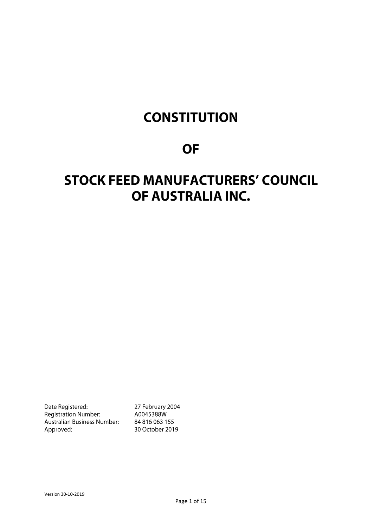# **CONSTITUTION**

# **OF**

# **STOCK FEED MANUFACTURERS' COUNCIL** OF AUSTRALIA INC.

Date Registered: Registration Number: Australian Business Number: Approved:

27 February 2004 A0045388W 84 816 063 155 30 October 2019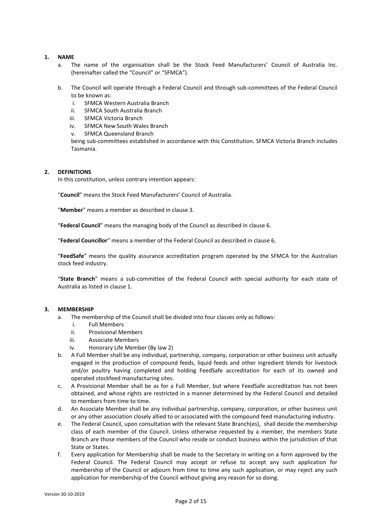#### **1. NAME**

- a. The name of the organisation shall be the Stock Feed Manufacturers' Council of Australia Inc. (hereinafter called the "Council" or "SFMCA").
- b. The Council will operate through a Federal Council and through sub-committees of the Federal Council to be known as:
	- i. SFMCA Western Australia Branch
	- ii. SFMCA South Australia Branch
	- iii. SFMCA Victoria Branch
	- iv. SFMCA New South Wales Branch
	- v. SFMCA Queensland Branch

being sub-committees established in accordance with this Constitution. SFMCA Victoria Branch includes Tasmania.

# **2. DEFINITIONS**

In this constitution, unless contrary intention appears:

"**Council**" means the Stock Feed Manufacturers' Council of Australia.

"**Member**" means a member as described in clause 3.

"**Federal Council**" means the managing body of the Council as described in clause 6.

"**Federal Councillor**" means a member of the Federal Council as described in clause 6.

"**FeedSafe**" means the quality assurance accreditation program operated by the SFMCA for the Australian stock feed industry.

"**State Branch**" means a sub-committee of the Federal Council with special authority for each state of Australia as listed in clause 1.

# **3. MEMBERSHIP**

- a. The membership of the Council shall be divided into four classes only as follows:
	- i. Full Members
	- ii. Provisional Members
	- iii. Associate Members
	- iv. Honorary Life Member (By law 2)
- b. A Full Member shall be any individual, partnership, company, corporation or other business unit actually engaged in the production of compound feeds, liquid feeds and other ingredient blends for livestock and/or poultry having completed and holding FeedSafe accreditation for each of its owned and operated stockfeed manufacturing sites.
- c. A Provisional Member shall be as for a Full Member, but where FeedSafe accreditation has not been obtained, and whose rights are restricted in a manner determined by the Federal Council and detailed to members from time to time.
- d. An Associate Member shall be any individual partnership, company, corporation, or other business unit or any other association closely allied to or associated with the compound feed manufacturing industry.
- e. The Federal Council, upon consultation with the relevant State Branch(es), shall decide the membership class of each member of the Council. Unless otherwise requested by a member, the members State Branch are those members of the Council who reside or conduct business within the jurisdiction of that State or States.
- f. Every application for Membership shall be made to the Secretary in writing on a form approved by the Federal Council. The Federal Council may accept or refuse to accept any such application for membership of the Council or adjourn from time to time any such application, or may reject any such application for membership of the Council without giving any reason for so doing.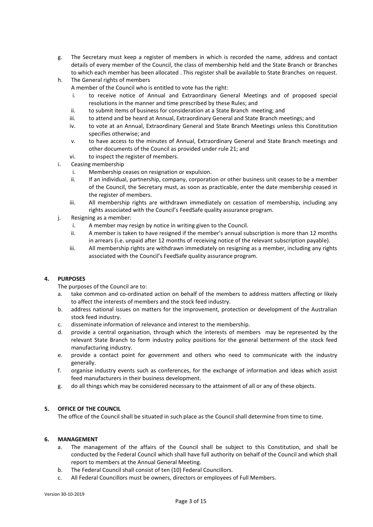- g. The Secretary must keep a register of members in which is recorded the name, address and contact details of every member of the Council, the class of membership held and the State Branch or Branches to which each member has been allocated . This register shall be available to State Branches on request.
- h. The General rights of members

A member of the Council who is entitled to vote has the right:

- i. to receive notice of Annual and Extraordinary General Meetings and of proposed special resolutions in the manner and time prescribed by these Rules; and
- ii. to submit items of business for consideration at a State Branch meeting; and
- iii. to attend and be heard at Annual, Extraordinary General and State Branch meetings; and
- iv. to vote at an Annual, Extraordinary General and State Branch Meetings unless this Constitution specifies otherwise; and
- v. to have access to the minutes of Annual, Extraordinary General and State Branch meetings and other documents of the Council as provided under rule 21; and
- vi. to inspect the register of members.
- i. Ceasing membership
	- i. Membership ceases on resignation or expulsion.
	- ii. If an individual, partnership, company, corporation or other business unit ceases to be a member of the Council, the Secretary must, as soon as practicable, enter the date membership ceased in the register of members.
	- iii. All membership rights are withdrawn immediately on cessation of membership, including any rights associated with the Council's FeedSafe quality assurance program.
- j. Resigning as a member:
	- i. A member may resign by notice in writing given to the Council.
	- ii. A member is taken to have resigned if the member's annual subscription is more than 12 months in arrears (i.e. unpaid after 12 months of receiving notice of the relevant subscription payable).
	- iii. All membership rights are withdrawn immediately on resigning as a member, including any rights associated with the Council's FeedSafe quality assurance program.

# **4. PURPOSES**

The purposes of the Council are to:

- a. take common and co-ordinated action on behalf of the members to address matters affecting or likely to affect the interests of members and the stock feed industry.
- b. address national issues on matters for the improvement, protection or development of the Australian stock feed industry.
- c. disseminate information of relevance and interest to the membership.
- d. provide a central organisation, through which the interests of members may be represented by the relevant State Branch to form industry policy positions for the general betterment of the stock feed manufacturing industry.
- e. provide a contact point for government and others who need to communicate with the industry generally.
- f. organise industry events such as conferences, for the exchange of information and ideas which assist feed manufacturers in their business development.
- g. do all things which may be considered necessary to the attainment of all or any of these objects.

# **5. OFFICE OF THE COUNCIL**

The office of the Council shall be situated in such place as the Council shall determine from time to time.

# **6. MANAGEMENT**

- a. The management of the affairs of the Council shall be subject to this Constitution, and shall be conducted by the Federal Council which shall have full authority on behalf of the Council and which shall report to members at the Annual General Meeting.
- b. The Federal Council shall consist of ten (10) Federal Councillors.
- c. All Federal Councillors must be owners, directors or employees of Full Members.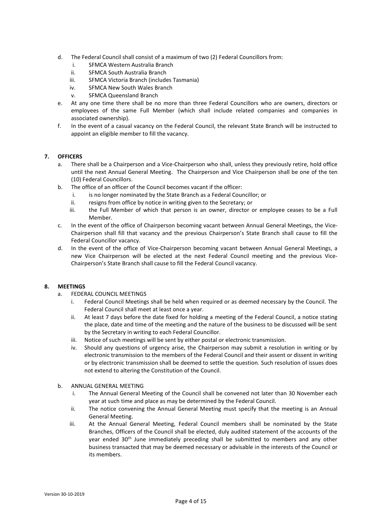- d. The Federal Council shall consist of a maximum of two (2) Federal Councillors from:
	- i. SFMCA Western Australia Branch
	- ii. SFMCA South Australia Branch
	- iii. SFMCA Victoria Branch (includes Tasmania)
	- iv. SFMCA New South Wales Branch
	- v. SFMCA Queensland Branch
- e. At any one time there shall be no more than three Federal Councillors who are owners, directors or employees of the same Full Member (which shall include related companies and companies in associated ownership).
- f. In the event of a casual vacancy on the Federal Council, the relevant State Branch will be instructed to appoint an eligible member to fill the vacancy.

# **7. OFFICERS**

- a. There shall be a Chairperson and a Vice-Chairperson who shall, unless they previously retire, hold office until the next Annual General Meeting. The Chairperson and Vice Chairperson shall be one of the ten (10) Federal Councillors.
- b. The office of an officer of the Council becomes vacant if the officer:
	- i. is no longer nominated by the State Branch as a Federal Councillor; or
	- ii. resigns from office by notice in writing given to the Secretary; or
	- iii. the Full Member of which that person is an owner, director or employee ceases to be a Full Member.
- c. In the event of the office of Chairperson becoming vacant between Annual General Meetings, the Vice-Chairperson shall fill that vacancy and the previous Chairperson's State Branch shall cause to fill the Federal Councillor vacancy.
- d. In the event of the office of Vice-Chairperson becoming vacant between Annual General Meetings, a new Vice Chairperson will be elected at the next Federal Council meeting and the previous Vice-Chairperson's State Branch shall cause to fill the Federal Council vacancy.

# **8. MEETINGS**

- a. FEDERAL COUNCIL MEETINGS
	- i. Federal Council Meetings shall be held when required or as deemed necessary by the Council. The Federal Council shall meet at least once a year.
	- ii. At least 7 days before the date fixed for holding a meeting of the Federal Council, a notice stating the place, date and time of the meeting and the nature of the business to be discussed will be sent by the Secretary in writing to each Federal Councillor.
	- iii. Notice of such meetings will be sent by either postal or electronic transmission.
	- iv. Should any questions of urgency arise, the Chairperson may submit a resolution in writing or by electronic transmission to the members of the Federal Council and their assent or dissent in writing or by electronic transmission shall be deemed to settle the question. Such resolution of issues does not extend to altering the Constitution of the Council.
- b. ANNUAL GENERAL MEETING
	- i. The Annual General Meeting of the Council shall be convened not later than 30 November each year at such time and place as may be determined by the Federal Council.
	- ii. The notice convening the Annual General Meeting must specify that the meeting is an Annual General Meeting.
	- iii. At the Annual General Meeting, Federal Council members shall be nominated by the State Branches, Officers of the Council shall be elected, duly audited statement of the accounts of the year ended 30<sup>th</sup> June immediately preceding shall be submitted to members and any other business transacted that may be deemed necessary or advisable in the interests of the Council or its members.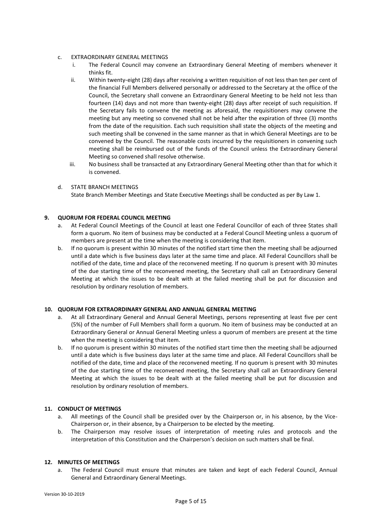- c. EXTRAORDINARY GENERAL MEETINGS
	- i. The Federal Council may convene an Extraordinary General Meeting of members whenever it thinks fit.
	- ii. Within twenty‑eight (28) days after receiving a written requisition of not less than ten per cent of the financial Full Members delivered personally or addressed to the Secretary at the office of the Council, the Secretary shall convene an Extraordinary General Meeting to be held not less than fourteen (14) days and not more than twenty-eight (28) days after receipt of such requisition. If the Secretary fails to convene the meeting as aforesaid, the requisitioners may convene the meeting but any meeting so convened shall not be held after the expiration of three (3) months from the date of the requisition. Each such requisition shall state the objects of the meeting and such meeting shall be convened in the same manner as that in which General Meetings are to be convened by the Council. The reasonable costs incurred by the requisitioners in convening such meeting shall be reimbursed out of the funds of the Council unless the Extraordinary General Meeting so convened shall resolve otherwise.
	- iii. No business shall be transacted at any Extraordinary General Meeting other than that for which it is convened.
- d. STATE BRANCH MEETINGS State Branch Member Meetings and State Executive Meetings shall be conducted as per By Law 1.

# **9. QUORUM FOR FEDERAL COUNCIL MEETING**

- a. At Federal Council Meetings of the Council at least one Federal Councillor of each of three States shall form a quorum. No item of business may be conducted at a Federal Council Meeting unless a quorum of members are present at the time when the meeting is considering that item.
- b. If no quorum is present within 30 minutes of the notified start time then the meeting shall be adjourned until a date which is five business days later at the same time and place. All Federal Councillors shall be notified of the date, time and place of the reconvened meeting. If no quorum is present with 30 minutes of the due starting time of the reconvened meeting, the Secretary shall call an Extraordinary General Meeting at which the issues to be dealt with at the failed meeting shall be put for discussion and resolution by ordinary resolution of members.

#### **10. QUORUM FOR EXTRAORDINARY GENERAL AND ANNUAL GENERAL MEETING**

- a. At all Extraordinary General and Annual General Meetings, persons representing at least five per cent (5%) of the number of Full Members shall form a quorum. No item of business may be conducted at an Extraordinary General or Annual General Meeting unless a quorum of members are present at the time when the meeting is considering that item.
- b. If no quorum is present within 30 minutes of the notified start time then the meeting shall be adjourned until a date which is five business days later at the same time and place. All Federal Councillors shall be notified of the date, time and place of the reconvened meeting. If no quorum is present with 30 minutes of the due starting time of the reconvened meeting, the Secretary shall call an Extraordinary General Meeting at which the issues to be dealt with at the failed meeting shall be put for discussion and resolution by ordinary resolution of members.

#### **11. CONDUCT OF MEETINGS**

- a. All meetings of the Council shall be presided over by the Chairperson or, in his absence, by the Vice-Chairperson or, in their absence, by a Chairperson to be elected by the meeting.
- b. The Chairperson may resolve issues of interpretation of meeting rules and protocols and the interpretation of this Constitution and the Chairperson's decision on such matters shall be final.

#### **12. MINUTES OF MEETINGS**

a. The Federal Council must ensure that minutes are taken and kept of each Federal Council, Annual General and Extraordinary General Meetings.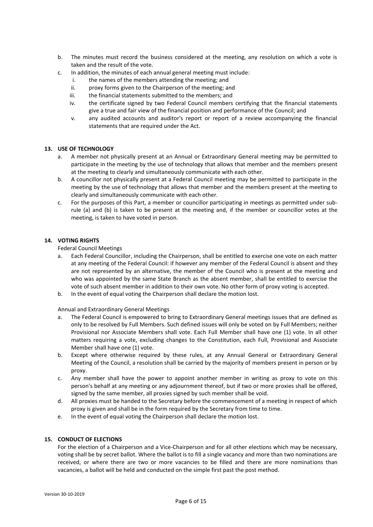- b. The minutes must record the business considered at the meeting, any resolution on which a vote is taken and the result of the vote.
- c. In addition, the minutes of each annual general meeting must include:
	- i. the names of the members attending the meeting; and
	- ii. proxy forms given to the Chairperson of the meeting; and
	- iii. the financial statements submitted to the members; and
	- iv. the certificate signed by two Federal Council members certifying that the financial statements give a true and fair view of the financial position and performance of the Council; and
	- v. any audited accounts and auditor's report or report of a review accompanying the financial statements that are required under the Act.

# **13. USE OF TECHNOLOGY**

- a. A member not physically present at an Annual or Extraordinary General meeting may be permitted to participate in the meeting by the use of technology that allows that member and the members present at the meeting to clearly and simultaneously communicate with each other.
- b. A councillor not physically present at a Federal Council meeting may be permitted to participate in the meeting by the use of technology that allows that member and the members present at the meeting to clearly and simultaneously communicate with each other.
- c. For the purposes of this Part, a member or councillor participating in meetings as permitted under subrule (a) and (b) is taken to be present at the meeting and, if the member or councillor votes at the meeting, is taken to have voted in person.

#### **14. VOTING RIGHTS**

Federal Council Meetings

- a. Each Federal Councillor, including the Chairperson, shall be entitled to exercise one vote on each matter at any meeting of the Federal Council: if however any member of the Federal Council is absent and they are not represented by an alternative, the member of the Council who is present at the meeting and who was appointed by the same State Branch as the absent member, shall be entitled to exercise the vote of such absent member in addition to their own vote. No other form of proxy voting is accepted.
- b. In the event of equal voting the Chairperson shall declare the motion lost.

Annual and Extraordinary General Meetings

- a. The Federal Council is empowered to bring to Extraordinary General meetings issues that are defined as only to be resolved by Full Members. Such defined issues will only be voted on by Full Members; neither Provisional nor Associate Members shall vote. Each Full Member shall have one (1) vote. In all other matters requiring a vote, excluding changes to the Constitution, each Full, Provisional and Associate Member shall have one (1) vote.
- b. Except where otherwise required by these rules, at any Annual General or Extraordinary General Meeting of the Council, a resolution shall be carried by the majority of members present in person or by proxy.
- c. Any member shall have the power to appoint another member in writing as proxy to vote on this person's behalf at any meeting or any adjournment thereof, but if two or more proxies shall be offered, signed by the same member, all proxies signed by such member shall be void.
- d. All proxies must be handed to the Secretary before the commencement of a meeting in respect of which proxy is given and shall be in the form required by the Secretary from time to time.
- e. In the event of equal voting the Chairperson shall declare the motion lost.

# **15. CONDUCT OF ELECTIONS**

For the election of a Chairperson and a Vice-Chairperson and for all other elections which may be necessary, voting shall be by secret ballot. Where the ballot is to fill a single vacancy and more than two nominations are received, or where there are two or more vacancies to be filled and there are more nominations than vacancies, a ballot will be held and conducted on the simple first past the post method.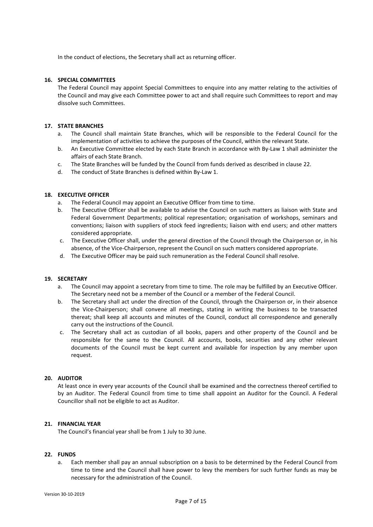In the conduct of elections, the Secretary shall act as returning officer.

# **16. SPECIAL COMMITTEES**

The Federal Council may appoint Special Committees to enquire into any matter relating to the activities of the Council and may give each Committee power to act and shall require such Committees to report and may dissolve such Committees.

#### **17. STATE BRANCHES**

- a. The Council shall maintain State Branches, which will be responsible to the Federal Council for the implementation of activities to achieve the purposes of the Council, within the relevant State.
- b. An Executive Committee elected by each State Branch in accordance with By-Law 1 shall administer the affairs of each State Branch.
- c. The State Branches will be funded by the Council from funds derived as described in clause 22.
- d. The conduct of State Branches is defined within By-Law 1.

# **18. EXECUTIVE OFFICER**

- a. The Federal Council may appoint an Executive Officer from time to time.
- b. The Executive Officer shall be available to advise the Council on such matters as liaison with State and Federal Government Departments; political representation; organisation of workshops, seminars and conventions; liaison with suppliers of stock feed ingredients; liaison with end users; and other matters considered appropriate.
- c. The Executive Officer shall, under the general direction of the Council through the Chairperson or, in his absence, of the Vice-Chairperson, represent the Council on such matters considered appropriate.
- d. The Executive Officer may be paid such remuneration as the Federal Council shall resolve.

#### **19. SECRETARY**

- a. The Council may appoint a secretary from time to time. The role may be fulfilled by an Executive Officer. The Secretary need not be a member of the Council or a member of the Federal Council.
- b. The Secretary shall act under the direction of the Council, through the Chairperson or, in their absence the Vice-Chairperson; shall convene all meetings, stating in writing the business to be transacted thereat; shall keep all accounts and minutes of the Council, conduct all correspondence and generally carry out the instructions of the Council.
- c. The Secretary shall act as custodian of all books, papers and other property of the Council and be responsible for the same to the Council. All accounts, books, securities and any other relevant documents of the Council must be kept current and available for inspection by any member upon request.

#### **20. AUDITOR**

At least once in every year accounts of the Council shall be examined and the correctness thereof certified to by an Auditor. The Federal Council from time to time shall appoint an Auditor for the Council. A Federal Councillor shall not be eligible to act as Auditor.

# **21. FINANCIAL YEAR**

The Council's financial year shall be from 1 July to 30 June.

#### **22. FUNDS**

a. Each member shall pay an annual subscription on a basis to be determined by the Federal Council from time to time and the Council shall have power to levy the members for such further funds as may be necessary for the administration of the Council.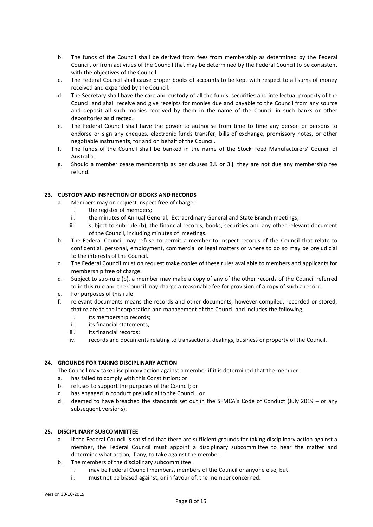- b. The funds of the Council shall be derived from fees from membership as determined by the Federal Council, or from activities of the Council that may be determined by the Federal Council to be consistent with the objectives of the Council.
- c. The Federal Council shall cause proper books of accounts to be kept with respect to all sums of money received and expended by the Council.
- d. The Secretary shall have the care and custody of all the funds, securities and intellectual property of the Council and shall receive and give receipts for monies due and payable to the Council from any source and deposit all such monies received by them in the name of the Council in such banks or other depositories as directed.
- e. The Federal Council shall have the power to authorise from time to time any person or persons to endorse or sign any cheques, electronic funds transfer, bills of exchange, promissory notes, or other negotiable instruments, for and on behalf of the Council.
- f. The funds of the Council shall be banked in the name of the Stock Feed Manufacturers' Council of Australia.
- g. Should a member cease membership as per clauses 3.i. or 3.j. they are not due any membership fee refund.

# **23. CUSTODY AND INSPECTION OF BOOKS AND RECORDS**

- a. Members may on request inspect free of charge:
	- i. the register of members;
	- ii. the minutes of Annual General, Extraordinary General and State Branch meetings;
	- iii. subject to sub-rule (b), the financial records, books, securities and any other relevant document of the Council, including minutes of meetings.
- b. The Federal Council may refuse to permit a member to inspect records of the Council that relate to confidential, personal, employment, commercial or legal matters or where to do so may be prejudicial to the interests of the Council.
- c. The Federal Council must on request make copies of these rules available to members and applicants for membership free of charge.
- d. Subject to sub-rule (b), a member may make a copy of any of the other records of the Council referred to in this rule and the Council may charge a reasonable fee for provision of a copy of such a record.
- e. For purposes of this rule—
- f. relevant documents means the records and other documents, however compiled, recorded or stored, that relate to the incorporation and management of the Council and includes the following:
	- i. its membership records;
	- ii. its financial statements;
	- iii. its financial records;
	- iv. records and documents relating to transactions, dealings, business or property of the Council.

# **24. GROUNDS FOR TAKING DISCIPLINARY ACTION**

The Council may take disciplinary action against a member if it is determined that the member:

- a. has failed to comply with this Constitution; or
- b. refuses to support the purposes of the Council; or
- c. has engaged in conduct prejudicial to the Council: or
- d. deemed to have breached the standards set out in the SFMCA's Code of Conduct (July 2019 or any subsequent versions).

# **25. DISCIPLINARY SUBCOMMITTEE**

- a. If the Federal Council is satisfied that there are sufficient grounds for taking disciplinary action against a member, the Federal Council must appoint a disciplinary subcommittee to hear the matter and determine what action, if any, to take against the member.
- b. The members of the disciplinary subcommittee:
	- i. may be Federal Council members, members of the Council or anyone else; but
	- ii. must not be biased against, or in favour of, the member concerned.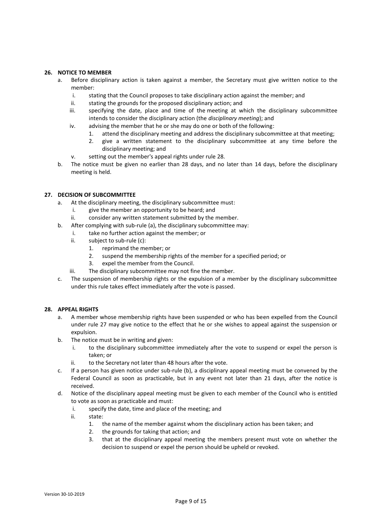# **26. NOTICE TO MEMBER**

- a. Before disciplinary action is taken against a member, the Secretary must give written notice to the member:
	- i. stating that the Council proposes to take disciplinary action against the member; and
	- ii. stating the grounds for the proposed disciplinary action; and
	- iii. specifying the date, place and time of the meeting at which the disciplinary subcommittee intends to consider the disciplinary action (the *disciplinary meeting*); and
	- iv. advising the member that he or she may do one or both of the following:
		- 1. attend the disciplinary meeting and address the disciplinary subcommittee at that meeting;
		- 2. give a written statement to the disciplinary subcommittee at any time before the disciplinary meeting; and
	- v. setting out the member's appeal rights under rule 28.
- b. The notice must be given no earlier than 28 days, and no later than 14 days, before the disciplinary meeting is held.

#### **27. DECISION OF SUBCOMMITTEE**

- a. At the disciplinary meeting, the disciplinary subcommittee must:
	- i. give the member an opportunity to be heard; and
	- ii. consider any written statement submitted by the member.
- b. After complying with sub-rule (a), the disciplinary subcommittee may:
	- i. take no further action against the member; or
	- ii. subject to sub-rule (c):
		- 1. reprimand the member; or
		- 2. suspend the membership rights of the member for a specified period; or
		- 3. expel the member from the Council.
	- iii. The disciplinary subcommittee may not fine the member.
- c. The suspension of membership rights or the expulsion of a member by the disciplinary subcommittee under this rule takes effect immediately after the vote is passed.

#### **28. APPEAL RIGHTS**

- a. A member whose membership rights have been suspended or who has been expelled from the Council under rule 27 may give notice to the effect that he or she wishes to appeal against the suspension or expulsion.
- b. The notice must be in writing and given:
	- i. to the disciplinary subcommittee immediately after the vote to suspend or expel the person is taken; or
	- ii. to the Secretary not later than 48 hours after the vote.
- c. If a person has given notice under sub-rule (b), a disciplinary appeal meeting must be convened by the Federal Council as soon as practicable, but in any event not later than 21 days, after the notice is received.
- d. Notice of the disciplinary appeal meeting must be given to each member of the Council who is entitled to vote as soon as practicable and must:
	- i. specify the date, time and place of the meeting; and
	- ii. state:
		- 1. the name of the member against whom the disciplinary action has been taken; and
		- 2. the grounds for taking that action; and
		- 3. that at the disciplinary appeal meeting the members present must vote on whether the decision to suspend or expel the person should be upheld or revoked.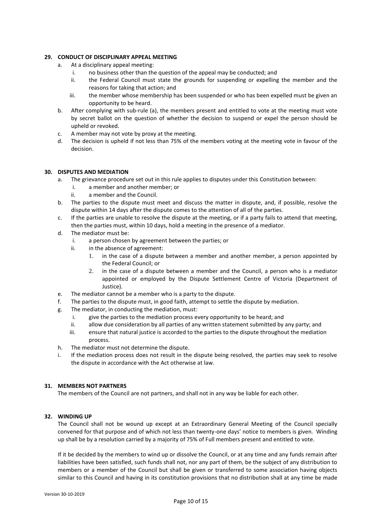# **29. CONDUCT OF DISCIPLINARY APPEAL MEETING**

- a. At a disciplinary appeal meeting:
	- i. no business other than the question of the appeal may be conducted; and
	- ii. the Federal Council must state the grounds for suspending or expelling the member and the reasons for taking that action; and
	- iii. the member whose membership has been suspended or who has been expelled must be given an opportunity to be heard.
- b. After complying with sub-rule (a), the members present and entitled to vote at the meeting must vote by secret ballot on the question of whether the decision to suspend or expel the person should be upheld or revoked.
- c. A member may not vote by proxy at the meeting.
- d. The decision is upheld if not less than 75% of the members voting at the meeting vote in favour of the decision.

# **30. DISPUTES AND MEDIATION**

- a. The grievance procedure set out in this rule applies to disputes under this Constitution between:
	- i. a member and another member; or
	- ii. a member and the Council.
- b. The parties to the dispute must meet and discuss the matter in dispute, and, if possible, resolve the dispute within 14 days after the dispute comes to the attention of all of the parties.
- c. If the parties are unable to resolve the dispute at the meeting, or if a party fails to attend that meeting, then the parties must, within 10 days, hold a meeting in the presence of a mediator.
- d. The mediator must be:
	- i. a person chosen by agreement between the parties; or
	- ii. in the absence of agreement:
		- 1. in the case of a dispute between a member and another member, a person appointed by the Federal Council; or
		- 2. in the case of a dispute between a member and the Council, a person who is a mediator appointed or employed by the Dispute Settlement Centre of Victoria (Department of Justice).
- e. The mediator cannot be a member who is a party to the dispute.
- f. The parties to the dispute must, in good faith, attempt to settle the dispute by mediation.
- g. The mediator, in conducting the mediation, must:
	- i. give the parties to the mediation process every opportunity to be heard; and
	- ii. allow due consideration by all parties of any written statement submitted by any party; and
	- iii. ensure that natural justice is accorded to the parties to the dispute throughout the mediation process.
- h. The mediator must not determine the dispute.
- i. If the mediation process does not result in the dispute being resolved, the parties may seek to resolve the dispute in accordance with the Act otherwise at law.

#### **31. MEMBERS NOT PARTNERS**

The members of the Council are not partners, and shall not in any way be liable for each other.

# **32. WINDING UP**

The Council shall not be wound up except at an Extraordinary General Meeting of the Council specially convened for that purpose and of which not less than twenty-one days' notice to members is given. Winding up shall be by a resolution carried by a majority of 75% of Full members present and entitled to vote.

If it be decided by the members to wind up or dissolve the Council, or at any time and any funds remain after liabilities have been satisfied, such funds shall not, nor any part of them, be the subject of any distribution to members or a member of the Council but shall be given or transferred to some association having objects similar to this Council and having in its constitution provisions that no distribution shall at any time be made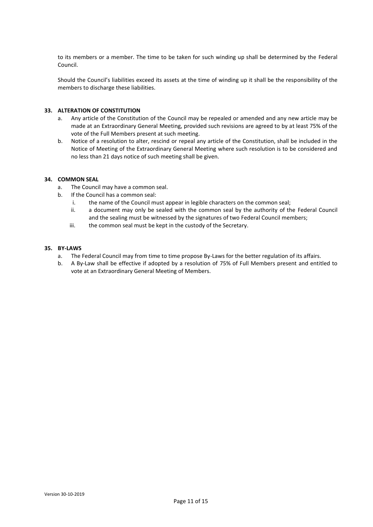to its members or a member. The time to be taken for such winding up shall be determined by the Federal Council.

Should the Council's liabilities exceed its assets at the time of winding up it shall be the responsibility of the members to discharge these liabilities.

#### **33. ALTERATION OF CONSTITUTION**

- a. Any article of the Constitution of the Council may be repealed or amended and any new article may be made at an Extraordinary General Meeting, provided such revisions are agreed to by at least 75% of the vote of the Full Members present at such meeting.
- b. Notice of a resolution to alter, rescind or repeal any article of the Constitution, shall be included in the Notice of Meeting of the Extraordinary General Meeting where such resolution is to be considered and no less than 21 days notice of such meeting shall be given.

#### **34. COMMON SEAL**

- a. The Council may have a common seal.
- b. If the Council has a common seal:
	- i. the name of the Council must appear in legible characters on the common seal;
	- ii. a document may only be sealed with the common seal by the authority of the Federal Council and the sealing must be witnessed by the signatures of two Federal Council members;
	- iii. the common seal must be kept in the custody of the Secretary.

#### **35. BY-LAWS**

- a. The Federal Council may from time to time propose By-Laws for the better regulation of its affairs.
- b. A By-Law shall be effective if adopted by a resolution of 75% of Full Members present and entitled to vote at an Extraordinary General Meeting of Members.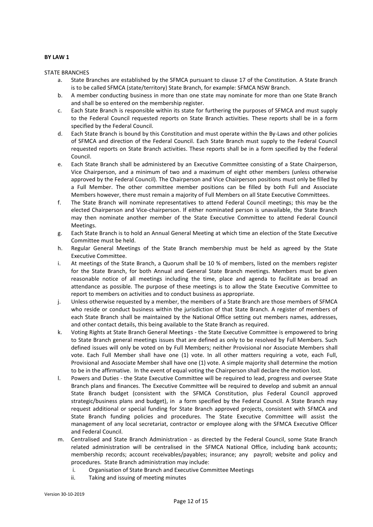#### **BY LAW 1**

STATE BRANCHES

- a. State Branches are established by the SFMCA pursuant to clause 17 of the Constitution. A State Branch is to be called SFMCA (state/territory) State Branch, for example: SFMCA NSW Branch.
- b. A member conducting business in more than one state may nominate for more than one State Branch and shall be so entered on the membership register.
- c. Each State Branch is responsible within its state for furthering the purposes of SFMCA and must supply to the Federal Council requested reports on State Branch activities. These reports shall be in a form specified by the Federal Council.
- d. Each State Branch is bound by this Constitution and must operate within the By-Laws and other policies of SFMCA and direction of the Federal Council. Each State Branch must supply to the Federal Council requested reports on State Branch activities. These reports shall be in a form specified by the Federal Council.
- e. Each State Branch shall be administered by an Executive Committee consisting of a State Chairperson, Vice Chairperson, and a minimum of two and a maximum of eight other members (unless otherwise approved by the Federal Council). The Chairperson and Vice Chairperson positions must only be filled by a Full Member. The other committee member positions can be filled by both Full and Associate Members however, there must remain a majority of Full Members on all State Executive Committees.
- f. The State Branch will nominate representatives to attend Federal Council meetings; this may be the elected Chairperson and Vice-chairperson. If either nominated person is unavailable, the State Branch may then nominate another member of the State Executive Committee to attend Federal Council Meetings.
- g. Each State Branch is to hold an Annual General Meeting at which time an election of the State Executive Committee must be held.
- h. Regular General Meetings of the State Branch membership must be held as agreed by the State Executive Committee.
- i. At meetings of the State Branch, a Quorum shall be 10 % of members, listed on the members register for the State Branch, for both Annual and General State Branch meetings. Members must be given reasonable notice of all meetings including the time, place and agenda to facilitate as broad an attendance as possible. The purpose of these meetings is to allow the State Executive Committee to report to members on activities and to conduct business as appropriate.
- j. Unless otherwise requested by a member, the members of a State Branch are those members of SFMCA who reside or conduct business within the jurisdiction of that State Branch. A register of members of each State Branch shall be maintained by the National Office setting out members names, addresses, and other contact details, this being available to the State Branch as required.
- k. Voting Rights at State Branch General Meetings the State Executive Committee is empowered to bring to State Branch general meetings issues that are defined as only to be resolved by Full Members. Such defined issues will only be voted on by Full Members; neither Provisional nor Associate Members shall vote. Each Full Member shall have one (1) vote. In all other matters requiring a vote, each Full, Provisional and Associate Member shall have one (1) vote. A simple majority shall determine the motion to be in the affirmative. In the event of equal voting the Chairperson shall declare the motion lost.
- l. Powers and Duties the State Executive Committee will be required to lead, progress and oversee State Branch plans and finances. The Executive Committee will be required to develop and submit an annual State Branch budget (consistent with the SFMCA Constitution, plus Federal Council approved strategic/business plans and budget), in a form specified by the Federal Council. A State Branch may request additional or special funding for State Branch approved projects, consistent with SFMCA and State Branch funding policies and procedures. The State Executive Committee will assist the management of any local secretariat, contractor or employee along with the SFMCA Executive Officer and Federal Council.
- m. Centralised and State Branch Administration as directed by the Federal Council, some State Branch related administration will be centralised in the SFMCA National Office, including bank accounts; membership records; account receivables/payables; insurance; any payroll; website and policy and procedures. State Branch administration may include:
	- i. Organisation of State Branch and Executive Committee Meetings
	- ii. Taking and issuing of meeting minutes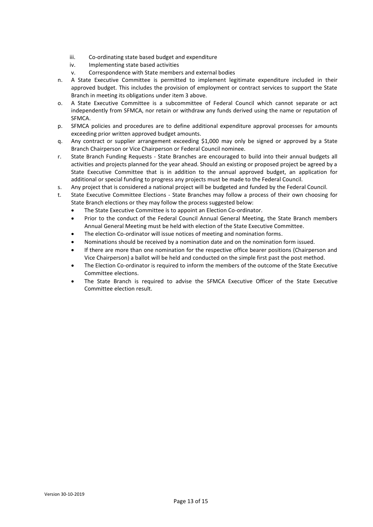- iii. Co-ordinating state based budget and expenditure
- iv. Implementing state based activities
- v. Correspondence with State members and external bodies
- n. A State Executive Committee is permitted to implement legitimate expenditure included in their approved budget. This includes the provision of employment or contract services to support the State Branch in meeting its obligations under item 3 above.
- o. A State Executive Committee is a subcommittee of Federal Council which cannot separate or act independently from SFMCA, nor retain or withdraw any funds derived using the name or reputation of SFMCA.
- p. SFMCA policies and procedures are to define additional expenditure approval processes for amounts exceeding prior written approved budget amounts.
- q. Any contract or supplier arrangement exceeding \$1,000 may only be signed or approved by a State Branch Chairperson or Vice Chairperson or Federal Council nominee.
- r. State Branch Funding Requests State Branches are encouraged to build into their annual budgets all activities and projects planned for the year ahead. Should an existing or proposed project be agreed by a State Executive Committee that is in addition to the annual approved budget, an application for additional or special funding to progress any projects must be made to the Federal Council.
- s. Any project that is considered a national project will be budgeted and funded by the Federal Council.
- t. State Executive Committee Elections State Branches may follow a process of their own choosing for State Branch elections or they may follow the process suggested below:
	- The State Executive Committee is to appoint an Election Co-ordinator.
	- Prior to the conduct of the Federal Council Annual General Meeting, the State Branch members Annual General Meeting must be held with election of the State Executive Committee.
	- The election Co-ordinator will issue notices of meeting and nomination forms.
	- Nominations should be received by a nomination date and on the nomination form issued.
	- If there are more than one nomination for the respective office bearer positions (Chairperson and Vice Chairperson) a ballot will be held and conducted on the simple first past the post method.
	- The Election Co-ordinator is required to inform the members of the outcome of the State Executive Committee elections.
	- The State Branch is required to advise the SFMCA Executive Officer of the State Executive Committee election result.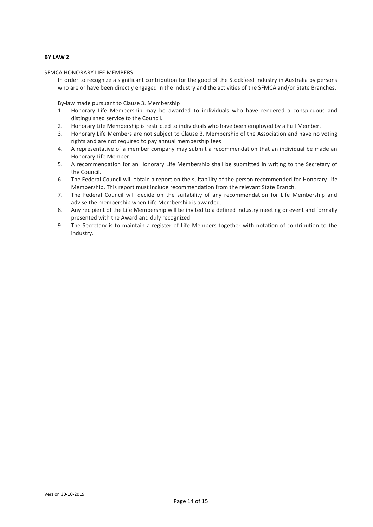#### **BY LAW 2**

#### SFMCA HONORARY LIFE MEMBERS

In order to recognize a significant contribution for the good of the Stockfeed industry in Australia by persons who are or have been directly engaged in the industry and the activities of the SFMCA and/or State Branches.

By-law made pursuant to Clause 3. Membership

- 1. Honorary Life Membership may be awarded to individuals who have rendered a conspicuous and distinguished service to the Council.
- 2. Honorary Life Membership is restricted to individuals who have been employed by a Full Member.
- 3. Honorary Life Members are not subject to Clause 3. Membership of the Association and have no voting rights and are not required to pay annual membership fees
- 4. A representative of a member company may submit a recommendation that an individual be made an Honorary Life Member.
- 5. A recommendation for an Honorary Life Membership shall be submitted in writing to the Secretary of the Council.
- 6. The Federal Council will obtain a report on the suitability of the person recommended for Honorary Life Membership. This report must include recommendation from the relevant State Branch.
- 7. The Federal Council will decide on the suitability of any recommendation for Life Membership and advise the membership when Life Membership is awarded.
- 8. Any recipient of the Life Membership will be invited to a defined industry meeting or event and formally presented with the Award and duly recognized.
- 9. The Secretary is to maintain a register of Life Members together with notation of contribution to the industry.